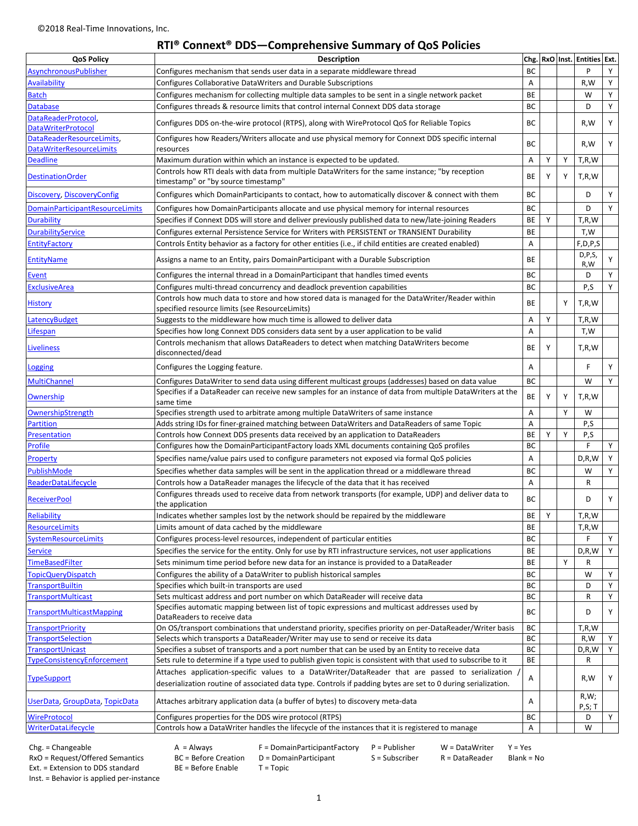# **RTI® Connext® DDS—Comprehensive Summary of QoS Policies**

| <b>QoS Policy</b>                                    | <b>Description</b>                                                                                                                                                                                                |           |   |   | Chg. RxO Inst. Entities Ext. |        |
|------------------------------------------------------|-------------------------------------------------------------------------------------------------------------------------------------------------------------------------------------------------------------------|-----------|---|---|------------------------------|--------|
| AsynchronousPublisher                                | Configures mechanism that sends user data in a separate middleware thread                                                                                                                                         |           |   |   | P                            | Y      |
| <b>Availability</b>                                  | Configures Collaborative DataWriters and Durable Subscriptions                                                                                                                                                    |           |   |   | R,W                          | Y      |
| <b>Batch</b>                                         | Configures mechanism for collecting multiple data samples to be sent in a single network packet                                                                                                                   |           |   |   | W                            | Υ      |
| <b>Database</b>                                      | Configures threads & resource limits that control internal Connext DDS data storage                                                                                                                               |           |   |   | D                            | Υ      |
| DataReaderProtocol,<br><b>DataWriterProtocol</b>     | Configures DDS on-the-wire protocol (RTPS), along with WireProtocol QoS for Reliable Topics                                                                                                                       |           |   |   | R,W                          | Υ      |
| DataReaderResourceLimits,                            | Configures how Readers/Writers allocate and use physical memory for Connext DDS specific internal                                                                                                                 |           |   |   | R,W                          | Υ      |
| <b>DataWriterResourceLimits</b><br><b>Deadline</b>   | resources<br>Maximum duration within which an instance is expected to be updated.                                                                                                                                 |           | Y | Υ | T,R,W                        |        |
| <b>DestinationOrder</b>                              | Controls how RTI deals with data from multiple DataWriters for the same instance; "by reception<br>timestamp" or "by source timestamp"                                                                            |           | Y | Y | T, R, W                      |        |
| Discovery, DiscoveryConfig                           | Configures which DomainParticipants to contact, how to automatically discover & connect with them                                                                                                                 |           |   |   | D                            | Υ      |
| <b>DomainParticipantResourceLimits</b>               | Configures how DomainParticipants allocate and use physical memory for internal resources                                                                                                                         |           |   |   | D                            | Y      |
| <b>Durability</b>                                    | Specifies if Connext DDS will store and deliver previously published data to new/late-joining Readers                                                                                                             |           | Y |   | T,R,W                        |        |
| <b>DurabilityService</b>                             | Configures external Persistence Service for Writers with PERSISTENT or TRANSIENT Durability                                                                                                                       |           |   |   | T,W                          |        |
| <b>EntityFactory</b>                                 | Controls Entity behavior as a factory for other entities (i.e., if child entities are created enabled)                                                                                                            |           |   |   | F, D, P, S                   |        |
| <b>EntityName</b>                                    | Assigns a name to an Entity, pairs DomainParticipant with a Durable Subscription                                                                                                                                  |           |   |   | D, P, S,<br>R,W              | Y      |
| Event                                                | Configures the internal thread in a DomainParticipant that handles timed events                                                                                                                                   | BC        |   |   | D                            | Y      |
| <b>ExclusiveArea</b>                                 | Configures multi-thread concurrency and deadlock prevention capabilities                                                                                                                                          |           |   |   | P,S                          | Y      |
|                                                      | Controls how much data to store and how stored data is managed for the DataWriter/Reader within                                                                                                                   | BC        |   |   |                              |        |
| <u>History</u>                                       | specified resource limits (see ResourceLimits)                                                                                                                                                                    | <b>BE</b> |   | Y | T,R,W                        |        |
| LatencyBudget                                        | Suggests to the middleware how much time is allowed to deliver data                                                                                                                                               | A         | Y |   | T,R,W                        |        |
| Lifespan                                             | Specifies how long Connext DDS considers data sent by a user application to be valid                                                                                                                              | A         |   |   | T,W                          |        |
| <b>Liveliness</b>                                    | Controls mechanism that allows DataReaders to detect when matching DataWriters become<br>disconnected/dead                                                                                                        | BE        | Y |   | T,R,W                        |        |
| <b>Logging</b>                                       | Configures the Logging feature.                                                                                                                                                                                   | Α         |   |   | F                            | Y      |
| <b>MultiChannel</b>                                  | Configures DataWriter to send data using different multicast groups (addresses) based on data value                                                                                                               | BC        |   |   | W                            | Y      |
| Ownership                                            | Specifies if a DataReader can receive new samples for an instance of data from multiple DataWriters at the<br>same time                                                                                           | <b>BE</b> | Y | Y | T,R,W                        |        |
| OwnershipStrength                                    | Specifies strength used to arbitrate among multiple DataWriters of same instance                                                                                                                                  | Α         |   | Y | W                            |        |
| <b>Partition</b>                                     | Adds string IDs for finer-grained matching between DataWriters and DataReaders of same Topic                                                                                                                      | A         |   |   | P,S                          |        |
| <b>Presentation</b>                                  | Controls how Connext DDS presents data received by an application to DataReaders                                                                                                                                  |           | Y | Y | P,S                          |        |
| <b>Profile</b>                                       | Configures how the DomainParticipantFactory loads XML documents containing QoS profiles                                                                                                                           |           |   |   | F                            | Y      |
| Property                                             | Specifies name/value pairs used to configure parameters not exposed via formal QoS policies                                                                                                                       | A         |   |   | D, R, W                      | Υ      |
| PublishMode                                          | Specifies whether data samples will be sent in the application thread or a middleware thread                                                                                                                      |           |   |   | W                            | Υ      |
| ReaderDataLifecycle                                  | Controls how a DataReader manages the lifecycle of the data that it has received                                                                                                                                  |           |   |   | R                            |        |
| <b>ReceiverPool</b>                                  | Configures threads used to receive data from network transports (for example, UDP) and deliver data to                                                                                                            |           |   |   | D                            | Υ      |
| <b>Reliability</b>                                   | the application                                                                                                                                                                                                   |           | Y |   | T,R,W                        |        |
| <b>ResourceLimits</b>                                | Indicates whether samples lost by the network should be repaired by the middleware                                                                                                                                |           |   |   | T,R,W                        |        |
| SystemResourceLimits                                 | Limits amount of data cached by the middleware<br>Configures process-level resources, independent of particular entities                                                                                          |           |   |   | F                            | Y      |
|                                                      | Specifies the service for the entity. Only for use by RTI infrastructure services, not user applications                                                                                                          | BC<br>BE  |   |   | D, R, W                      | Y      |
| <b>Service</b>                                       |                                                                                                                                                                                                                   |           |   |   |                              |        |
| TimeBasedFilter                                      | Sets minimum time period before new data for an instance is provided to a DataReader                                                                                                                              | BE        |   | Y | R<br>W                       |        |
| <b>TopicQueryDispatch</b><br><b>TransportBuiltin</b> | Configures the ability of a DataWriter to publish historical samples<br>Specifies which built-in transports are used                                                                                              | BC<br>BC  |   |   | D                            | Υ<br>Υ |
| <b>TransportMulticast</b>                            | Sets multicast address and port number on which DataReader will receive data                                                                                                                                      | BC        |   |   | R                            | Υ      |
|                                                      | Specifies automatic mapping between list of topic expressions and multicast addresses used by                                                                                                                     |           |   |   |                              |        |
| <b>TransportMulticastMapping</b>                     | DataReaders to receive data                                                                                                                                                                                       | BC        |   |   | D                            | Υ      |
| <b>TransportPriority</b>                             | On OS/transport combinations that understand priority, specifies priority on per-DataReader/Writer basis                                                                                                          | BC        |   |   | T,R,W                        |        |
| <b>TransportSelection</b>                            | Selects which transports a DataReader/Writer may use to send or receive its data                                                                                                                                  | BC        |   |   | R,W                          | Y      |
| TransportUnicast                                     | Specifies a subset of transports and a port number that can be used by an Entity to receive data                                                                                                                  | BC        |   |   | D, R, W                      | Υ      |
| TypeConsistencyEnforcement                           | Sets rule to determine if a type used to publish given topic is consistent with that used to subscribe to it                                                                                                      | BE        |   |   | R                            |        |
| <b>TypeSupport</b>                                   | Attaches application-specific values to a DataWriter/DataReader that are passed to serialization<br>deserialization routine of associated data type. Controls if padding bytes are set to 0 during serialization. | Α         |   |   | R,W                          | Υ      |
| UserData, GroupData, TopicData                       | Attaches arbitrary application data (a buffer of bytes) to discovery meta-data                                                                                                                                    | Α         |   |   | R,W;<br>P,S;T                |        |
| <b>WireProtocol</b>                                  | Configures properties for the DDS wire protocol (RTPS)                                                                                                                                                            | ВC        |   |   | D                            | Y      |
| <b>WriterDataLifecycle</b>                           | Controls how a DataWriter handles the lifecycle of the instances that it is registered to manage                                                                                                                  | Α         |   |   | W                            |        |
|                                                      |                                                                                                                                                                                                                   |           |   |   |                              |        |

Chg. = Changeable A = Always F = DomainParticipantFactory P = Publisher W = DataWriter Y = Yes<br>
RxO = Request/Offered Semantics BC = Before Creation D = DomainParticipant S = Subscriber R = DataReader Blank = No RxO = Request/Offered Semantics BC = Before Creation<br>
Ext. = Extension to DDS standard BE = Before Enable

Ext. = Extension to DDS standard BE = Before Enable T = Topic

Inst. = Behavior is applied per-instance

1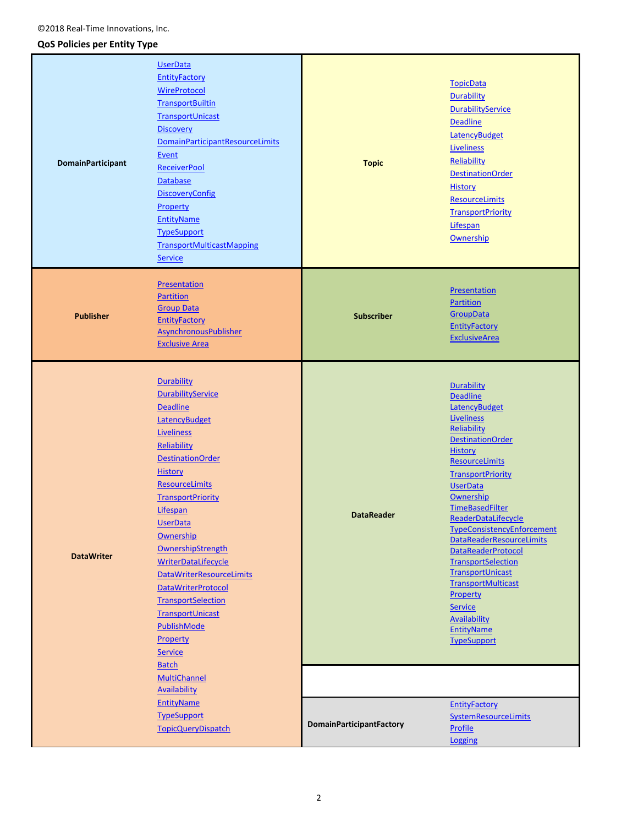# **QoS Policies per Entity Type**

| <b>DomainParticipant</b> | <b>UserData</b><br><b>EntityFactory</b><br>WireProtocol<br><b>TransportBuiltin</b><br>TransportUnicast<br><b>Discovery</b><br><b>DomainParticipantResourceLimits</b><br>Event<br><b>ReceiverPool</b><br><b>Database</b><br><b>DiscoveryConfig</b><br>Property<br><b>EntityName</b><br><b>TypeSupport</b><br><b>TransportMulticastMapping</b><br><b>Service</b>                                                                                                                                | <b>Topic</b>                    | <b>TopicData</b><br><b>Durability</b><br><b>DurabilityService</b><br><b>Deadline</b><br><b>LatencyBudget</b><br><b>Liveliness</b><br>Reliability<br><b>DestinationOrder</b><br><b>History</b><br>ResourceLimits<br><b>TransportPriority</b><br>Lifespan<br>Ownership                                                                                                                                                                                                                                                                                     |
|--------------------------|-----------------------------------------------------------------------------------------------------------------------------------------------------------------------------------------------------------------------------------------------------------------------------------------------------------------------------------------------------------------------------------------------------------------------------------------------------------------------------------------------|---------------------------------|----------------------------------------------------------------------------------------------------------------------------------------------------------------------------------------------------------------------------------------------------------------------------------------------------------------------------------------------------------------------------------------------------------------------------------------------------------------------------------------------------------------------------------------------------------|
| <b>Publisher</b>         | Presentation<br><b>Partition</b><br><b>Group Data</b><br><b>EntityFactory</b><br><b>AsynchronousPublisher</b><br><b>Exclusive Area</b>                                                                                                                                                                                                                                                                                                                                                        | <b>Subscriber</b>               | Presentation<br>Partition<br>GroupData<br><b>EntityFactory</b><br><b>ExclusiveArea</b>                                                                                                                                                                                                                                                                                                                                                                                                                                                                   |
| <b>DataWriter</b>        | Durability<br><b>DurabilityService</b><br><b>Deadline</b><br><b>LatencyBudget</b><br>Liveliness<br>Reliability<br><b>DestinationOrder</b><br><b>History</b><br>ResourceLimits<br><b>TransportPriority</b><br><b>Lifespan</b><br><b>UserData</b><br>Ownership<br>OwnershipStrength<br><b>WriterDataLifecycle</b><br>DataWriterResourceLimits<br><b>DataWriterProtocol</b><br><b>TransportSelection</b><br><b>TransportUnicast</b><br>PublishMode<br>Property<br><b>Service</b><br><b>Batch</b> | <b>DataReader</b>               | <b>Durability</b><br><b>Deadline</b><br>LatencyBudget<br><b>Liveliness</b><br>Reliability<br><b>DestinationOrder</b><br><b>History</b><br><b>ResourceLimits</b><br><b>TransportPriority</b><br><b>UserData</b><br>Ownership<br>TimeBasedFilter<br>ReaderDataLifecycle<br><b>TypeConsistencyEnforcement</b><br><b>DataReaderResourceLimits</b><br><b>DataReaderProtocol</b><br><b>TransportSelection</b><br>TransportUnicast<br><b>TransportMulticast</b><br>Property<br><b>Service</b><br><b>Availability</b><br><b>EntityName</b><br><b>TypeSupport</b> |
|                          | MultiChannel<br><b>Availability</b><br><b>EntityName</b><br><b>TypeSupport</b><br><b>TopicQueryDispatch</b>                                                                                                                                                                                                                                                                                                                                                                                   | <b>DomainParticipantFactory</b> | <b>EntityFactory</b><br><b>SystemResourceLimits</b><br><b>Profile</b><br>Logging                                                                                                                                                                                                                                                                                                                                                                                                                                                                         |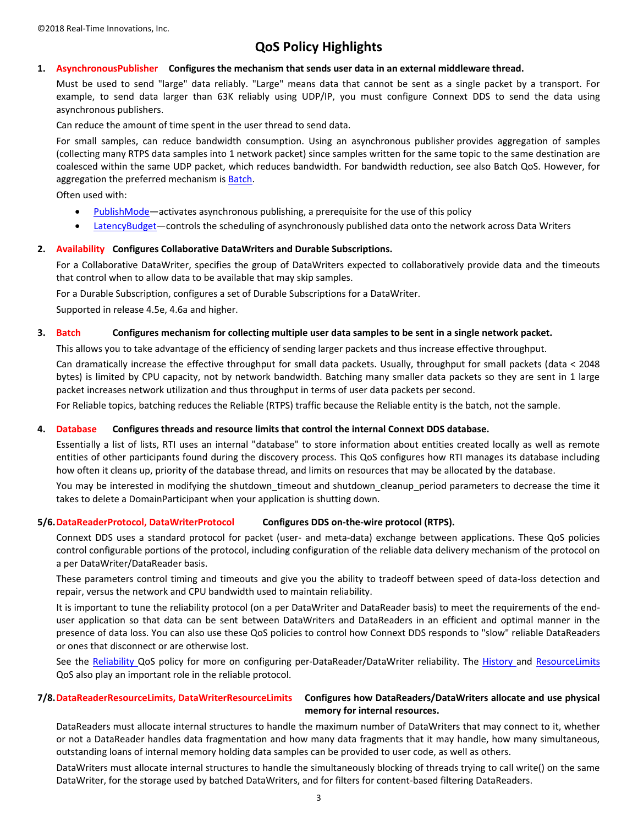# **QoS Policy Highlights**

## <span id="page-2-0"></span>**1. AsynchronousPublisher Configures the mechanism that sends user data in an external middleware thread.**

Must be used to send "large" data reliably. "Large" means data that cannot be sent as a single packet by a transport. For example, to send data larger than 63K reliably using UDP/IP, you must configure Connext DDS to send the data using asynchronous publishers.

Can reduce the amount of time spent in the user thread to send data.

For small samples, can reduce bandwidth consumption. Using an asynchronous publisher provides aggregation of samples (collecting many RTPS data samples into 1 network packet) since samples written for the same topic to the same destination are coalesced within the same UDP packet, which reduces bandwidth. For bandwidth reduction, see also Batch QoS. However, for aggregation the preferred mechanism is [Batch.](#page-2-2)

Often used with:

- [PublishMode](#page-8-1)—activates asynchronous publishing, a prerequisite for the use of this policy
- [LatencyBudget](#page-5-0)—controls the scheduling of asynchronously published data onto the network across Data Writers

#### <span id="page-2-1"></span>**2. Availability Configures Collaborative DataWriters and Durable Subscriptions.**

For a Collaborative DataWriter, specifies the group of DataWriters expected to collaboratively provide data and the timeouts that control when to allow data to be available that may skip samples.

For a Durable Subscription, configures a set of Durable Subscriptions for a DataWriter.

<span id="page-2-2"></span>Supported in release 4.5e, 4.6a and higher.

#### **3. Batch Configures mechanism for collecting multiple user data samples to be sent in a single network packet.**

This allows you to take advantage of the efficiency of sending larger packets and thus increase effective throughput.

Can dramatically increase the effective throughput for small data packets. Usually, throughput for small packets (data < 2048 bytes) is limited by CPU capacity, not by network bandwidth. Batching many smaller data packets so they are sent in 1 large packet increases network utilization and thus throughput in terms of user data packets per second.

<span id="page-2-3"></span>For Reliable topics, batching reduces the Reliable (RTPS) traffic because the Reliable entity is the batch, not the sample.

#### **4. Database Configures threads and resource limits that control the internal Connext DDS database.**

Essentially a list of lists, RTI uses an internal "database" to store information about entities created locally as well as remote entities of other participants found during the discovery process. This QoS configures how RTI manages its database including how often it cleans up, priority of the database thread, and limits on resources that may be allocated by the database.

You may be interested in modifying the shutdown\_timeout and shutdown\_cleanup\_period parameters to decrease the time it takes to delete a DomainParticipant when your application is shutting down.

# <span id="page-2-4"></span>**5/6.DataReaderProtocol, DataWriterProtocol Configures DDS on-the-wire protocol (RTPS).**

<span id="page-2-5"></span>Connext DDS uses a standard protocol for packet (user- and meta-data) exchange between applications. These QoS policies control configurable portions of the protocol, including configuration of the reliable data delivery mechanism of the protocol on a per DataWriter/DataReader basis.

These parameters control timing and timeouts and give you the ability to tradeoff between speed of data-loss detection and repair, versus the network and CPU bandwidth used to maintain reliability.

It is important to tune the reliability protocol (on a per DataWriter and DataReader basis) to meet the requirements of the enduser application so that data can be sent between DataWriters and DataReaders in an efficient and optimal manner in the presence of data loss. You can also use these QoS policies to control how Connext DDS responds to "slow" reliable DataReaders or ones that disconnect or are otherwise lost.

<span id="page-2-7"></span>See the [Reliability Q](#page-9-1)oS policy for more on configuring per-DataReader/DataWriter reliability. The [History a](#page-4-6)nd ResourceLimits QoS also play an important role in the reliable protocol.

# <span id="page-2-6"></span>**7/8.DataReaderResourceLimits, DataWriterResourceLimits Configures how DataReaders/DataWriters allocate and use physical**

# **memory for internal resources.**

DataReaders must allocate internal structures to handle the maximum number of DataWriters that may connect to it, whether or not a DataReader handles data fragmentation and how many data fragments that it may handle, how many simultaneous, outstanding loans of internal memory holding data samples can be provided to user code, as well as others.

DataWriters must allocate internal structures to handle the simultaneously blocking of threads trying to call write() on the same DataWriter, for the storage used by batched DataWriters, and for filters for content-based filtering DataReaders.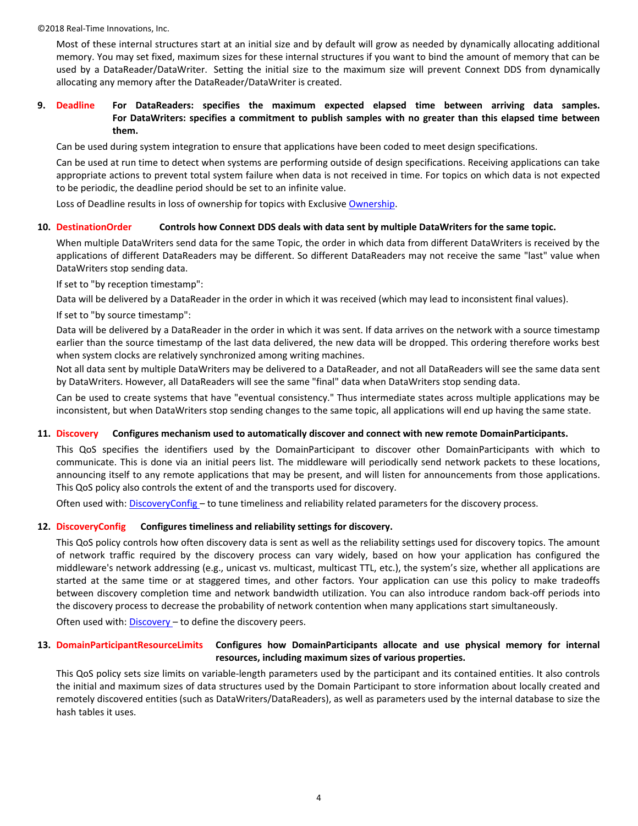Most of these internal structures start at an initial size and by default will grow as needed by dynamically allocating additional memory. You may set fixed, maximum sizes for these internal structures if you want to bind the amount of memory that can be used by a DataReader/DataWriter. Setting the initial size to the maximum size will prevent Connext DDS from dynamically allocating any memory after the DataReader/DataWriter is created.

# <span id="page-3-0"></span>**9. Deadline For DataReaders: specifies the maximum expected elapsed time between arriving data samples. For DataWriters: specifies a commitment to publish samples with no greater than this elapsed time between them.**

Can be used during system integration to ensure that applications have been coded to meet design specifications.

Can be used at run time to detect when systems are performing outside of design specifications. Receiving applications can take appropriate actions to prevent total system failure when data is not received in time. For topics on which data is not expected to be periodic, the deadline period should be set to an infinite value.

<span id="page-3-1"></span>Loss of Deadline results in loss of ownership for topics with Exclusive [Ownership.](#page-6-2)

#### **10. DestinationOrder Controls how Connext DDS deals with data sent by multiple DataWriters for the same topic.**

When multiple DataWriters send data for the same Topic, the order in which data from different DataWriters is received by the applications of different DataReaders may be different. So different DataReaders may not receive the same "last" value when DataWriters stop sending data.

If set to "by reception timestamp":

Data will be delivered by a DataReader in the order in which it was received (which may lead to inconsistent final values).

If set to "by source timestamp":

Data will be delivered by a DataReader in the order in which it was sent. If data arrives on the network with a source timestamp earlier than the source timestamp of the last data delivered, the new data will be dropped. This ordering therefore works best when system clocks are relatively synchronized among writing machines.

Not all data sent by multiple DataWriters may be delivered to a DataReader, and not all DataReaders will see the same data sent by DataWriters. However, all DataReaders will see the same "final" data when DataWriters stop sending data.

Can be used to create systems that have "eventual consistency." Thus intermediate states across multiple applications may be inconsistent, but when DataWriters stop sending changes to the same topic, all applications will end up having the same state.

#### <span id="page-3-2"></span>**11. Discovery Configures mechanism used to automatically discover and connect with new remote DomainParticipants.**

This QoS specifies the identifiers used by the DomainParticipant to discover other DomainParticipants with which to communicate. This is done via an initial peers list. The middleware will periodically send network packets to these locations, announcing itself to any remote applications that may be present, and will listen for announcements from those applications. This QoS policy also controls the extent of and the transports used for discovery.

<span id="page-3-3"></span>Often used with: [DiscoveryConfig](#page-3-3) – to tune timeliness and reliability related parameters for the discovery process.

# **12. DiscoveryConfig Configures timeliness and reliability settings for discovery.**

This QoS policy controls how often discovery data is sent as well as the reliability settings used for discovery topics. The amount of network traffic required by the discovery process can vary widely, based on how your application has configured the middleware's network addressing (e.g., unicast vs. multicast, multicast TTL, etc.), the system's size, whether all applications are started at the same time or at staggered times, and other factors. Your application can use this policy to make tradeoffs between discovery completion time and network bandwidth utilization. You can also introduce random back-off periods into the discovery process to decrease the probability of network contention when many applications start simultaneously.

<span id="page-3-4"></span>Often used with: [Discovery](#page-3-2) – to define the discovery peers.

# **13. DomainParticipantResourceLimits Configures how DomainParticipants allocate and use physical memory for internal resources, including maximum sizes of various properties.**

This QoS policy sets size limits on variable-length parameters used by the participant and its contained entities. It also controls the initial and maximum sizes of data structures used by the Domain Participant to store information about locally created and remotely discovered entities (such as DataWriters/DataReaders), as well as parameters used by the internal database to size the hash tables it uses.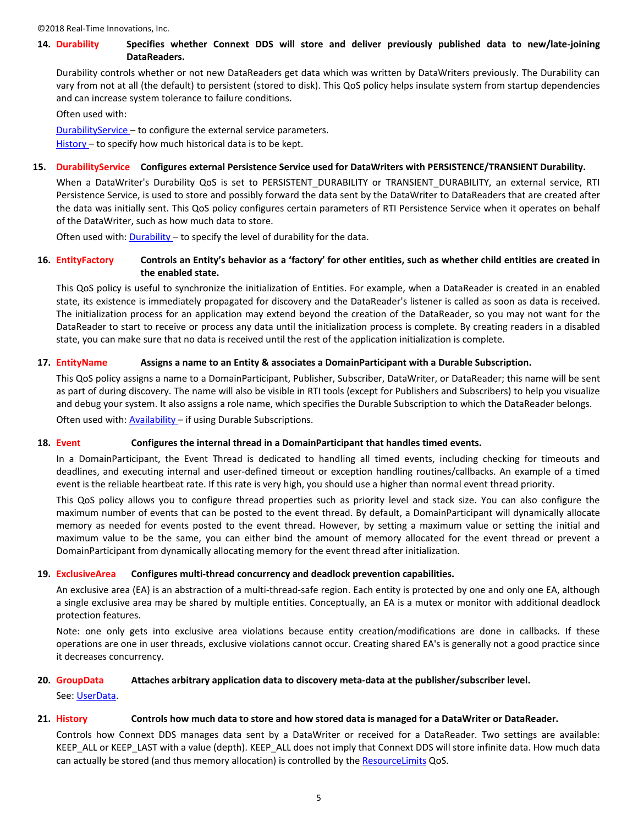# <span id="page-4-0"></span>**14. Durability Specifies whether Connext DDS will store and deliver previously published data to new/late-joining DataReaders.**

Durability controls whether or not new DataReaders get data which was written by DataWriters previously. The Durability can vary from not at all (the default) to persistent (stored to disk). This QoS policy helps insulate system from startup dependencies and can increase system tolerance to failure conditions.

Often used with:

[DurabilityService](#page-4-1) – to configure the external service parameters.

<span id="page-4-1"></span>[History](#page-4-6) - to specify how much historical data is to be kept.

# **15. DurabilityService Configures external Persistence Service used for DataWriters with PERSISTENCE/TRANSIENT Durability.**

When a DataWriter's Durability QoS is set to PERSISTENT\_DURABILITY or TRANSIENT\_DURABILITY, an external service, RTI Persistence Service, is used to store and possibly forward the data sent by the DataWriter to DataReaders that are created after the data was initially sent. This QoS policy configures certain parameters of RTI Persistence Service when it operates on behalf of the DataWriter, such as how much data to store.

<span id="page-4-2"></span>Often used with: [Durability](#page-4-0) – to specify the level of durability for the data.

# **16. EntityFactory Controls an Entity's behavior as a 'factory' for other entities, such as whether child entities are created in the enabled state.**

This QoS policy is useful to synchronize the initialization of Entities. For example, when a DataReader is created in an enabled state, its existence is immediately propagated for discovery and the DataReader's listener is called as soon as data is received. The initialization process for an application may extend beyond the creation of the DataReader, so you may not want for the DataReader to start to receive or process any data until the initialization process is complete. By creating readers in a disabled state, you can make sure that no data is received until the rest of the application initialization is complete.

# <span id="page-4-3"></span>**17. EntityName Assigns a name to an Entity & associates a DomainParticipant with a Durable Subscription.**

This QoS policy assigns a name to a DomainParticipant, Publisher, Subscriber, DataWriter, or DataReader; this name will be sent as part of during discovery. The name will also be visible in RTI tools (except for Publishers and Subscribers) to help you visualize and debug your system. It also assigns a role name, which specifies the Durable Subscription to which the DataReader belongs. Often used with: [Availability](#page-2-1) – if using Durable Subscriptions.

# <span id="page-4-4"></span>**18. Event Configures the internal thread in a DomainParticipant that handles timed events.**

In a DomainParticipant, the Event Thread is dedicated to handling all timed events, including checking for timeouts and deadlines, and executing internal and user-defined timeout or exception handling routines/callbacks. An example of a timed event is the reliable heartbeat rate. If this rate is very high, you should use a higher than normal event thread priority.

This QoS policy allows you to configure thread properties such as priority level and stack size. You can also configure the maximum number of events that can be posted to the event thread. By default, a DomainParticipant will dynamically allocate memory as needed for events posted to the event thread. However, by setting a maximum value or setting the initial and maximum value to be the same, you can either bind the amount of memory allocated for the event thread or prevent a DomainParticipant from dynamically allocating memory for the event thread after initialization.

# <span id="page-4-5"></span>**19. ExclusiveArea Configures multi-thread concurrency and deadlock prevention capabilities.**

An exclusive area (EA) is an abstraction of a multi-thread-safe region. Each entity is protected by one and only one EA, although a single exclusive area may be shared by multiple entities. Conceptually, an EA is a mutex or monitor with additional deadlock protection features.

Note: one only gets into exclusive area violations because entity creation/modifications are done in callbacks. If these operations are one in user threads, exclusive violations cannot occur. Creating shared EA's is generally not a good practice since it decreases concurrency.

# <span id="page-4-7"></span>**20. GroupData Attaches arbitrary application data to discovery meta-data at the publisher/subscriber level.**

<span id="page-4-6"></span>See: [UserData.](#page-12-5)

# **21. History Controls how much data to store and how stored data is managed for a DataWriter or DataReader.**

Controls how Connext DDS manages data sent by a DataWriter or received for a DataReader. Two settings are available: KEEP\_ALL or KEEP\_LAST with a value (depth). KEEP\_ALL does not imply that Connext DDS will store infinite data. How much data can actually be stored (and thus memory allocation) is controlled by the [ResourceLimits](#page-10-0) QoS.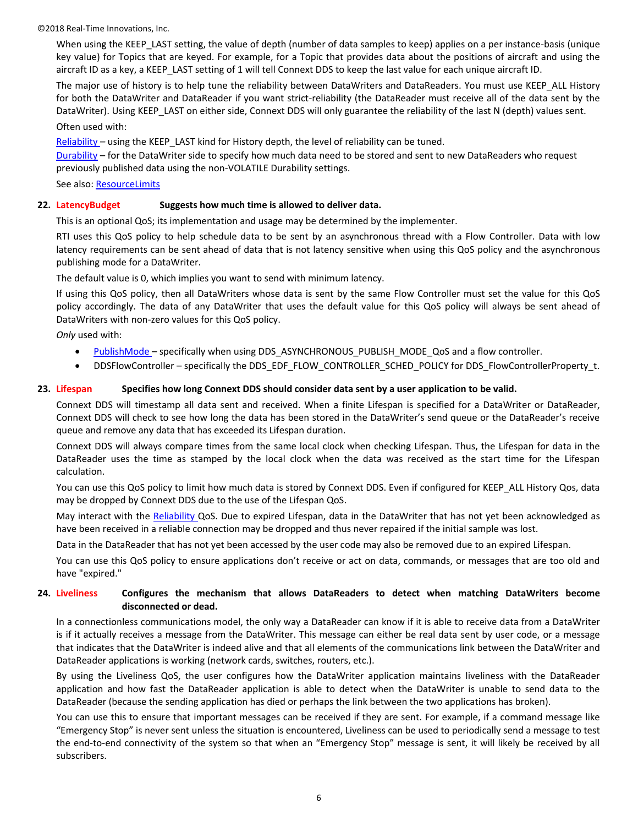When using the KEEP\_LAST setting, the value of depth (number of data samples to keep) applies on a per instance-basis (unique key value) for Topics that are keyed. For example, for a Topic that provides data about the positions of aircraft and using the aircraft ID as a key, a KEEP\_LAST setting of 1 will tell Connext DDS to keep the last value for each unique aircraft ID.

The major use of history is to help tune the reliability between DataWriters and DataReaders. You must use KEEP\_ALL History for both the DataWriter and DataReader if you want strict-reliability (the DataReader must receive all of the data sent by the DataWriter). Using KEEP\_LAST on either side, Connext DDS will only guarantee the reliability of the last N (depth) values sent.

Often used with:

[Reliability](#page-9-1) – using the KEEP\_LAST kind for History depth, the level of reliability can be tuned.

[Durability](#page-4-0) – for the DataWriter side to specify how much data need to be stored and sent to new DataReaders who request previously published data using the non-VOLATILE Durability settings.

<span id="page-5-0"></span>See also: [ResourceLimits](#page-10-0)

## **22. LatencyBudget Suggests how much time is allowed to deliver data.**

This is an optional QoS; its implementation and usage may be determined by the implementer.

RTI uses this QoS policy to help schedule data to be sent by an asynchronous thread with a Flow Controller. Data with low latency requirements can be sent ahead of data that is not latency sensitive when using this QoS policy and the asynchronous publishing mode for a DataWriter.

The default value is 0, which implies you want to send with minimum latency.

If using this QoS policy, then all DataWriters whose data is sent by the same Flow Controller must set the value for this QoS policy accordingly. The data of any DataWriter that uses the default value for this QoS policy will always be sent ahead of DataWriters with non-zero values for this QoS policy.

*Only* used with:

- [PublishMode](#page-8-1)  specifically when using DDS\_ASYNCHRONOUS\_PUBLISH\_MODE\_QoS and a flow controller.
- DDSFlowController specifically the DDS\_EDF\_FLOW\_CONTROLLER\_SCHED\_POLICY for DDS\_FlowControllerProperty\_t.

#### <span id="page-5-1"></span>**23. Lifespan Specifies how long Connext DDS should consider data sent by a user application to be valid.**

Connext DDS will timestamp all data sent and received. When a finite Lifespan is specified for a DataWriter or DataReader, Connext DDS will check to see how long the data has been stored in the DataWriter's send queue or the DataReader's receive queue and remove any data that has exceeded its Lifespan duration.

Connext DDS will always compare times from the same local clock when checking Lifespan. Thus, the Lifespan for data in the DataReader uses the time as stamped by the local clock when the data was received as the start time for the Lifespan calculation.

You can use this QoS policy to limit how much data is stored by Connext DDS. Even if configured for KEEP\_ALL History Qos, data may be dropped by Connext DDS due to the use of the Lifespan QoS.

May interact with the [Reliability Q](#page-9-1)oS. Due to expired Lifespan, data in the DataWriter that has not yet been acknowledged as have been received in a reliable connection may be dropped and thus never repaired if the initial sample was lost.

Data in the DataReader that has not yet been accessed by the user code may also be removed due to an expired Lifespan.

You can use this QoS policy to ensure applications don't receive or act on data, commands, or messages that are too old and have "expired."

# <span id="page-5-2"></span>**24. Liveliness Configures the mechanism that allows DataReaders to detect when matching DataWriters become disconnected or dead.**

In a connectionless communications model, the only way a DataReader can know if it is able to receive data from a DataWriter is if it actually receives a message from the DataWriter. This message can either be real data sent by user code, or a message that indicates that the DataWriter is indeed alive and that all elements of the communications link between the DataWriter and DataReader applications is working (network cards, switches, routers, etc.).

By using the Liveliness QoS, the user configures how the DataWriter application maintains liveliness with the DataReader application and how fast the DataReader application is able to detect when the DataWriter is unable to send data to the DataReader (because the sending application has died or perhaps the link between the two applications has broken).

You can use this to ensure that important messages can be received if they are sent. For example, if a command message like "Emergency Stop" is never sent unless the situation is encountered, Liveliness can be used to periodically send a message to test the end-to-end connectivity of the system so that when an "Emergency Stop" message is sent, it will likely be received by all subscribers.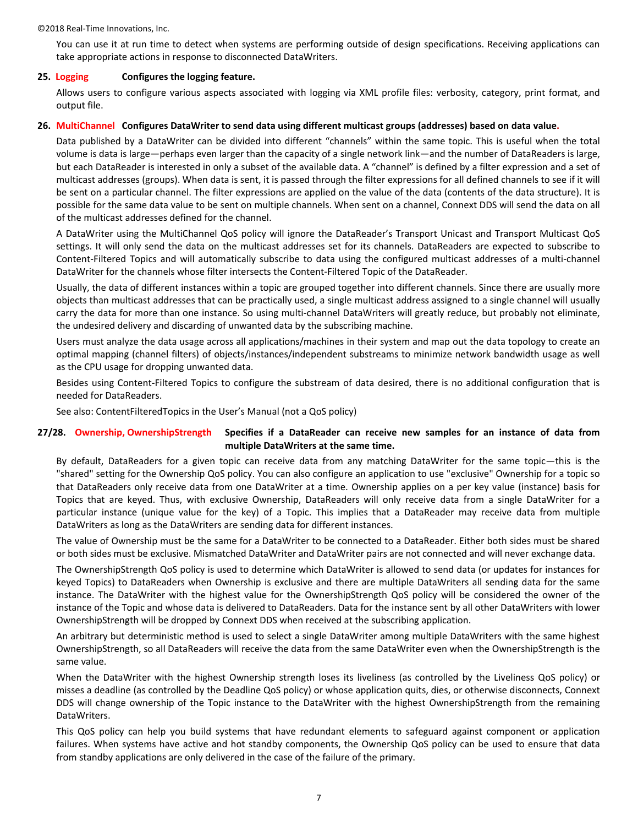You can use it at run time to detect when systems are performing outside of design specifications. Receiving applications can take appropriate actions in response to disconnected DataWriters.

## <span id="page-6-0"></span>**25. Logging Configures the logging feature.**

Allows users to configure various aspects associated with logging via XML profile files: verbosity, category, print format, and output file.

#### <span id="page-6-1"></span>**26. MultiChannel Configures DataWriter to send data using different multicast groups (addresses) based on data value.**

Data published by a DataWriter can be divided into different "channels" within the same topic. This is useful when the total volume is data is large—perhaps even larger than the capacity of a single network link—and the number of DataReaders is large, but each DataReader is interested in only a subset of the available data. A "channel" is defined by a filter expression and a set of multicast addresses (groups). When data is sent, it is passed through the filter expressions for all defined channels to see if it will be sent on a particular channel. The filter expressions are applied on the value of the data (contents of the data structure). It is possible for the same data value to be sent on multiple channels. When sent on a channel, Connext DDS will send the data on all of the multicast addresses defined for the channel.

A DataWriter using the MultiChannel QoS policy will ignore the DataReader's Transport Unicast and Transport Multicast QoS settings. It will only send the data on the multicast addresses set for its channels. DataReaders are expected to subscribe to Content-Filtered Topics and will automatically subscribe to data using the configured multicast addresses of a multi-channel DataWriter for the channels whose filter intersects the Content-Filtered Topic of the DataReader.

Usually, the data of different instances within a topic are grouped together into different channels. Since there are usually more objects than multicast addresses that can be practically used, a single multicast address assigned to a single channel will usually carry the data for more than one instance. So using multi-channel DataWriters will greatly reduce, but probably not eliminate, the undesired delivery and discarding of unwanted data by the subscribing machine.

Users must analyze the data usage across all applications/machines in their system and map out the data topology to create an optimal mapping (channel filters) of objects/instances/independent substreams to minimize network bandwidth usage as well as the CPU usage for dropping unwanted data.

Besides using Content-Filtered Topics to configure the substream of data desired, there is no additional configuration that is needed for DataReaders.

<span id="page-6-3"></span><span id="page-6-2"></span>See also: ContentFilteredTopics in the User's Manual (not a QoS policy)

# **27/28. Ownership, OwnershipStrength Specifies if a DataReader can receive new samples for an instance of data from multiple DataWriters at the same time.**

By default, DataReaders for a given topic can receive data from any matching DataWriter for the same topic—this is the "shared" setting for the Ownership QoS policy. You can also configure an application to use "exclusive" Ownership for a topic so that DataReaders only receive data from one DataWriter at a time. Ownership applies on a per key value (instance) basis for Topics that are keyed. Thus, with exclusive Ownership, DataReaders will only receive data from a single DataWriter for a particular instance (unique value for the key) of a Topic. This implies that a DataReader may receive data from multiple DataWriters as long as the DataWriters are sending data for different instances.

The value of Ownership must be the same for a DataWriter to be connected to a DataReader. Either both sides must be shared or both sides must be exclusive. Mismatched DataWriter and DataWriter pairs are not connected and will never exchange data.

The OwnershipStrength QoS policy is used to determine which DataWriter is allowed to send data (or updates for instances for keyed Topics) to DataReaders when Ownership is exclusive and there are multiple DataWriters all sending data for the same instance. The DataWriter with the highest value for the OwnershipStrength QoS policy will be considered the owner of the instance of the Topic and whose data is delivered to DataReaders. Data for the instance sent by all other DataWriters with lower OwnershipStrength will be dropped by Connext DDS when received at the subscribing application.

An arbitrary but deterministic method is used to select a single DataWriter among multiple DataWriters with the same highest OwnershipStrength, so all DataReaders will receive the data from the same DataWriter even when the OwnershipStrength is the same value.

When the DataWriter with the highest Ownership strength loses its liveliness (as controlled by the Liveliness QoS policy) or misses a deadline (as controlled by the Deadline QoS policy) or whose application quits, dies, or otherwise disconnects, Connext DDS will change ownership of the Topic instance to the DataWriter with the highest OwnershipStrength from the remaining DataWriters.

This QoS policy can help you build systems that have redundant elements to safeguard against component or application failures. When systems have active and hot standby components, the Ownership QoS policy can be used to ensure that data from standby applications are only delivered in the case of the failure of the primary.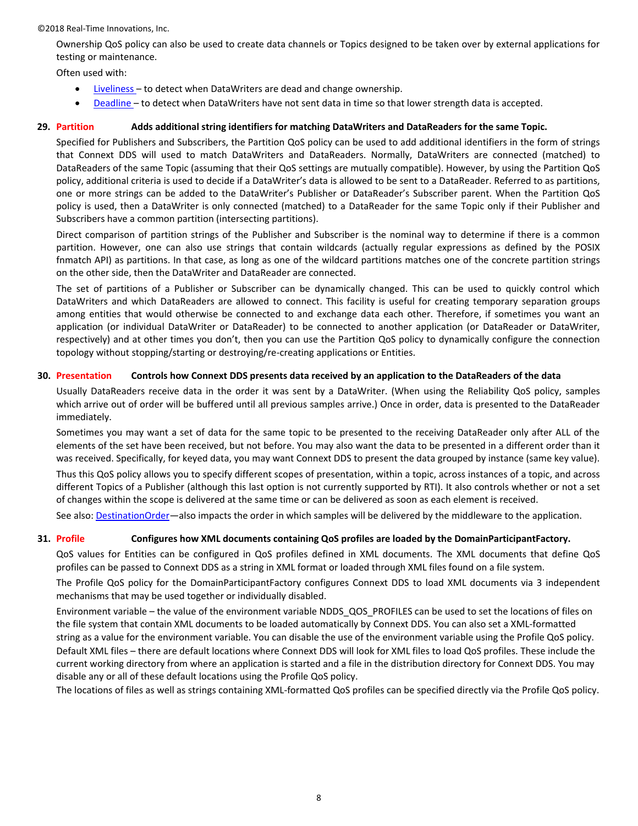Ownership QoS policy can also be used to create data channels or Topics designed to be taken over by external applications for testing or maintenance.

Often used with:

- [Liveliness](#page-5-2)  to detect when DataWriters are dead and change ownership.
- [Deadline](#page-3-0)  to detect when DataWriters have not sent data in time so that lower strength data is accepted.

# <span id="page-7-0"></span>**29. Partition Adds additional string identifiers for matching DataWriters and DataReaders for the same Topic.**

Specified for Publishers and Subscribers, the Partition QoS policy can be used to add additional identifiers in the form of strings that Connext DDS will used to match DataWriters and DataReaders. Normally, DataWriters are connected (matched) to DataReaders of the same Topic (assuming that their QoS settings are mutually compatible). However, by using the Partition QoS policy, additional criteria is used to decide if a DataWriter's data is allowed to be sent to a DataReader. Referred to as partitions, one or more strings can be added to the DataWriter's Publisher or DataReader's Subscriber parent. When the Partition QoS policy is used, then a DataWriter is only connected (matched) to a DataReader for the same Topic only if their Publisher and Subscribers have a common partition (intersecting partitions).

Direct comparison of partition strings of the Publisher and Subscriber is the nominal way to determine if there is a common partition. However, one can also use strings that contain wildcards (actually regular expressions as defined by the POSIX fnmatch API) as partitions. In that case, as long as one of the wildcard partitions matches one of the concrete partition strings on the other side, then the DataWriter and DataReader are connected.

The set of partitions of a Publisher or Subscriber can be dynamically changed. This can be used to quickly control which DataWriters and which DataReaders are allowed to connect. This facility is useful for creating temporary separation groups among entities that would otherwise be connected to and exchange data each other. Therefore, if sometimes you want an application (or individual DataWriter or DataReader) to be connected to another application (or DataReader or DataWriter, respectively) and at other times you don't, then you can use the Partition QoS policy to dynamically configure the connection topology without stopping/starting or destroying/re-creating applications or Entities.

# <span id="page-7-1"></span>**30. Presentation Controls how Connext DDS presents data received by an application to the DataReaders of the data**

Usually DataReaders receive data in the order it was sent by a DataWriter. (When using the Reliability QoS policy, samples which arrive out of order will be buffered until all previous samples arrive.) Once in order, data is presented to the DataReader immediately.

Sometimes you may want a set of data for the same topic to be presented to the receiving DataReader only after ALL of the elements of the set have been received, but not before. You may also want the data to be presented in a different order than it was received. Specifically, for keyed data, you may want Connext DDS to present the data grouped by instance (same key value).

Thus this QoS policy allows you to specify different scopes of presentation, within a topic, across instances of a topic, and across different Topics of a Publisher (although this last option is not currently supported by RTI). It also controls whether or not a set of changes within the scope is delivered at the same time or can be delivered as soon as each element is received.

<span id="page-7-2"></span>See also: [DestinationOrder](#page-3-1)—also impacts the order in which samples will be delivered by the middleware to the application.

# **31. Profile Configures how XML documents containing QoS profiles are loaded by the DomainParticipantFactory.**

QoS values for Entities can be configured in QoS profiles defined in XML documents. The XML documents that define QoS profiles can be passed to Connext DDS as a string in XML format or loaded through XML files found on a file system.

The Profile QoS policy for the DomainParticipantFactory configures Connext DDS to load XML documents via 3 independent mechanisms that may be used together or individually disabled.

Environment variable – the value of the environment variable NDDS\_QOS\_PROFILES can be used to set the locations of files on the file system that contain XML documents to be loaded automatically by Connext DDS. You can also set a XML-formatted string as a value for the environment variable. You can disable the use of the environment variable using the Profile QoS policy. Default XML files – there are default locations where Connext DDS will look for XML files to load QoS profiles. These include the current working directory from where an application is started and a file in the distribution directory for Connext DDS. You may disable any or all of these default locations using the Profile QoS policy.

The locations of files as well as strings containing XML-formatted QoS profiles can be specified directly via the Profile QoS policy.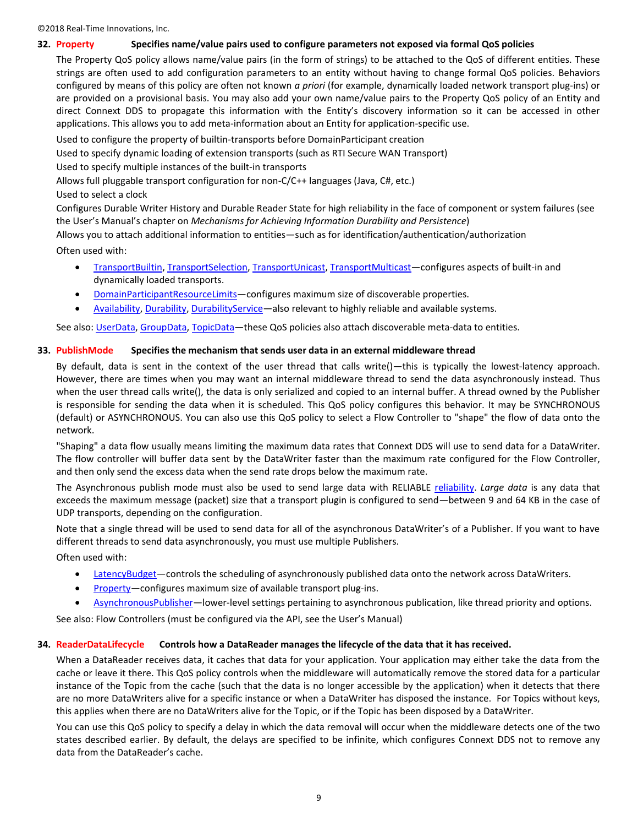#### <span id="page-8-0"></span>**32. Property Specifies name/value pairs used to configure parameters not exposed via formal QoS policies**

The Property QoS policy allows name/value pairs (in the form of strings) to be attached to the QoS of different entities. These strings are often used to add configuration parameters to an entity without having to change formal QoS policies. Behaviors configured by means of this policy are often not known *a priori* (for example, dynamically loaded network transport plug-ins) or are provided on a provisional basis. You may also add your own name/value pairs to the Property QoS policy of an Entity and direct Connext DDS to propagate this information with the Entity's discovery information so it can be accessed in other applications. This allows you to add meta-information about an Entity for application-specific use.

Used to configure the property of builtin-transports before DomainParticipant creation

Used to specify dynamic loading of extension transports (such as RTI Secure WAN Transport)

Used to specify multiple instances of the built-in transports

Allows full pluggable transport configuration for non-C/C++ languages (Java, C#, etc.)

Used to select a clock

Configures Durable Writer History and Durable Reader State for high reliability in the face of component or system failures (see the User's Manual's chapter on *Mechanisms for Achieving Information Durability and Persistence*)

Allows you to attach additional information to entities—such as for identification/authentication/authorization

Often used with:

- [TransportBuiltin,](#page-11-1) [TransportSelection,](#page-12-1) [TransportUnicast,](#page-12-2) [TransportMulticast](#page-11-2)—configures aspects of built-in and dynamically loaded transports.
- [DomainParticipantResourceLimits](#page-3-4)—configures maximum size of discoverable properties.
- [Availability,](#page-2-1) [Durability,](#page-4-0) [DurabilityService](#page-4-1)—also relevant to highly reliable and available systems.

<span id="page-8-1"></span>See also: [UserData,](#page-12-5) [GroupData,](#page-4-7) [TopicData](#page-11-4)—these QoS policies also attach discoverable meta-data to entities.

## **33. PublishMode Specifies the mechanism that sends user data in an external middleware thread**

By default, data is sent in the context of the user thread that calls write()—this is typically the lowest-latency approach. However, there are times when you may want an internal middleware thread to send the data asynchronously instead. Thus when the user thread calls write(), the data is only serialized and copied to an internal buffer. A thread owned by the Publisher is responsible for sending the data when it is scheduled. This QoS policy configures this behavior. It may be SYNCHRONOUS (default) or ASYNCHRONOUS. You can also use this QoS policy to select a Flow Controller to "shape" the flow of data onto the network.

"Shaping" a data flow usually means limiting the maximum data rates that Connext DDS will use to send data for a DataWriter. The flow controller will buffer data sent by the DataWriter faster than the maximum rate configured for the Flow Controller, and then only send the excess data when the send rate drops below the maximum rate.

The Asynchronous publish mode must also be used to send large data with RELIABLE [reliability.](#page-9-1) *Large data* is any data that exceeds the maximum message (packet) size that a transport plugin is configured to send—between 9 and 64 KB in the case of UDP transports, depending on the configuration.

Note that a single thread will be used to send data for all of the asynchronous DataWriter's of a Publisher. If you want to have different threads to send data asynchronously, you must use multiple Publishers.

Often used with:

- [LatencyBudget](#page-5-0)—controls the scheduling of asynchronously published data onto the network across DataWriters.
- [Property](#page-8-0)—configures maximum size of available transport plug-ins.
- [AsynchronousPublisher](#page-2-0)—lower-level settings pertaining to asynchronous publication, like thread priority and options.

<span id="page-8-2"></span>See also: Flow Controllers (must be configured via the API, see the User's Manual)

#### **34. ReaderDataLifecycle Controls how a DataReader manages the lifecycle of the data that it has received.**

When a DataReader receives data, it caches that data for your application. Your application may either take the data from the cache or leave it there. This QoS policy controls when the middleware will automatically remove the stored data for a particular instance of the Topic from the cache (such that the data is no longer accessible by the application) when it detects that there are no more DataWriters alive for a specific instance or when a DataWriter has disposed the instance. For Topics without keys, this applies when there are no DataWriters alive for the Topic, or if the Topic has been disposed by a DataWriter.

You can use this QoS policy to specify a delay in which the data removal will occur when the middleware detects one of the two states described earlier. By default, the delays are specified to be infinite, which configures Connext DDS not to remove any data from the DataReader's cache.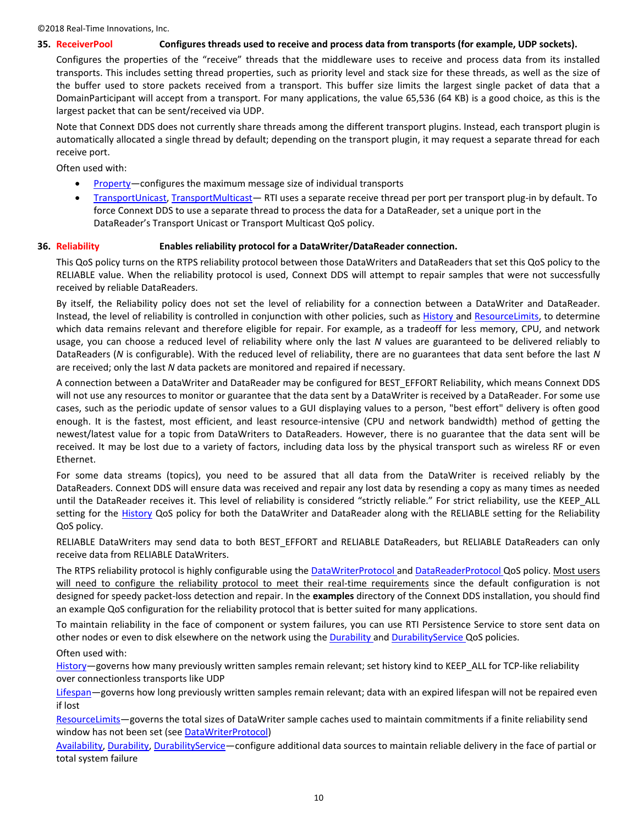#### <span id="page-9-0"></span>**35. ReceiverPool Configures threads used to receive and process data from transports (for example, UDP sockets).**

Configures the properties of the "receive" threads that the middleware uses to receive and process data from its installed transports. This includes setting thread properties, such as priority level and stack size for these threads, as well as the size of the buffer used to store packets received from a transport. This buffer size limits the largest single packet of data that a DomainParticipant will accept from a transport. For many applications, the value 65,536 (64 KB) is a good choice, as this is the largest packet that can be sent/received via UDP.

Note that Connext DDS does not currently share threads among the different transport plugins. Instead, each transport plugin is automatically allocated a single thread by default; depending on the transport plugin, it may request a separate thread for each receive port.

Often used with:

- [Property](#page-8-0)-configures the maximum message size of individual transports
- [TransportUnicast,](#page-12-2) [TransportMulticast](#page-11-2) RTI uses a separate receive thread per port per transport plug-in by default. To force Connext DDS to use a separate thread to process the data for a DataReader, set a unique port in the DataReader's Transport Unicast or Transport Multicast QoS policy.

#### <span id="page-9-1"></span>**36. Reliability Enables reliability protocol for a DataWriter/DataReader connection.**

This QoS policy turns on the RTPS reliability protocol between those DataWriters and DataReaders that set this QoS policy to the RELIABLE value. When the reliability protocol is used, Connext DDS will attempt to repair samples that were not successfully received by reliable DataReaders.

By itself, the Reliability policy does not set the level of reliability for a connection between a DataWriter and DataReader. Instead, the level of reliability is controlled in conjunction with other policies, such as [History a](#page-4-6)n[d ResourceLimits,](#page-10-0) to determine which data remains relevant and therefore eligible for repair. For example, as a tradeoff for less memory, CPU, and network usage, you can choose a reduced level of reliability where only the last *N* values are guaranteed to be delivered reliably to DataReaders (*N* is configurable). With the reduced level of reliability, there are no guarantees that data sent before the last *N*  are received; only the last *N* data packets are monitored and repaired if necessary.

A connection between a DataWriter and DataReader may be configured for BEST\_EFFORT Reliability, which means Connext DDS will not use any resources to monitor or guarantee that the data sent by a DataWriter is received by a DataReader. For some use cases, such as the periodic update of sensor values to a GUI displaying values to a person, "best effort" delivery is often good enough. It is the fastest, most efficient, and least resource-intensive (CPU and network bandwidth) method of getting the newest/latest value for a topic from DataWriters to DataReaders. However, there is no guarantee that the data sent will be received. It may be lost due to a variety of factors, including data loss by the physical transport such as wireless RF or even Ethernet.

For some data streams (topics), you need to be assured that all data from the DataWriter is received reliably by the DataReaders. Connext DDS will ensure data was received and repair any lost data by resending a copy as many times as needed until the DataReader receives it. This level of reliability is considered "strictly reliable." For strict reliability, use the KEEP\_ALL setting for the **History** QoS policy for both the DataWriter and DataReader along with the RELIABLE setting for the Reliability QoS policy.

RELIABLE DataWriters may send data to both BEST\_EFFORT and RELIABLE DataReaders, but RELIABLE DataReaders can only receive data from RELIABLE DataWriters.

The RTPS reliability protocol is highly configurable using the [DataWriterProtocol a](#page-2-5)n[d DataReaderProtocol Q](#page-2-4)oS policy. Most users will need to configure the reliability protocol to meet their real-time requirements since the default configuration is not designed for speedy packet-loss detection and repair. In the **examples** directory of the Connext DDS installation, you should find an example QoS configuration for the reliability protocol that is better suited for many applications.

To maintain reliability in the face of component or system failures, you can use RTI Persistence Service to store sent data on other nodes or even to disk elsewhere on the network using th[e Durability a](#page-4-0)nd [DurabilityService Q](#page-4-1)oS policies.

Often used with:

[History](#page-4-6)-governs how many previously written samples remain relevant; set history kind to KEEP\_ALL for TCP-like reliability over connectionless transports like UDP

[Lifespan](#page-5-1)-governs how long previously written samples remain relevant; data with an expired lifespan will not be repaired even if lost

[ResourceLimits](#page-10-0)-governs the total sizes of DataWriter sample caches used to maintain commitments if a finite reliability send window has not been set (se[e DataWriterProtocol\)](#page-2-5)

[Availability,](#page-2-1) [Durability,](#page-4-0) [DurabilityService](#page-4-1)-configure additional data sources to maintain reliable delivery in the face of partial or total system failure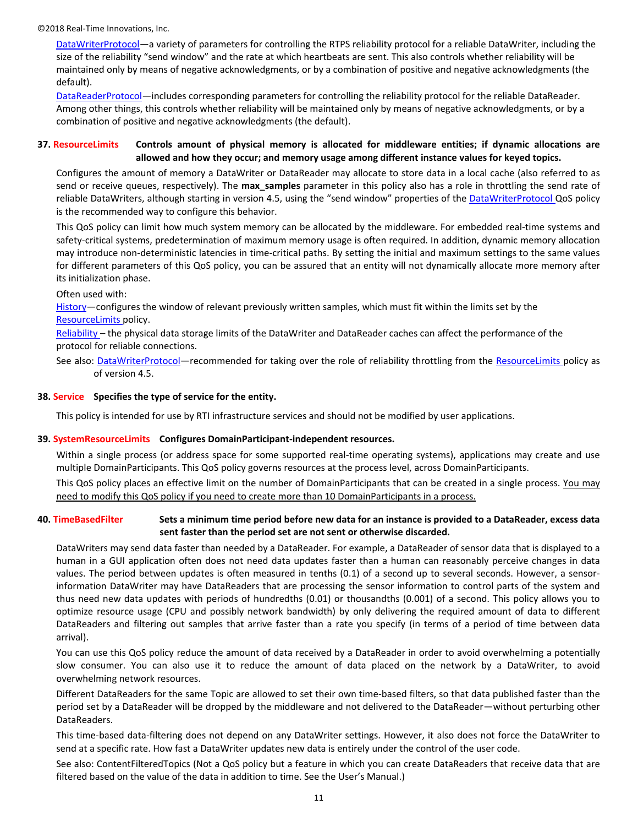[DataWriterProtocol](#page-2-5)—a variety of parameters for controlling the RTPS reliability protocol for a reliable DataWriter, including the size of the reliability "send window" and the rate at which heartbeats are sent. This also controls whether reliability will be maintained only by means of negative acknowledgments, or by a combination of positive and negative acknowledgments (the default).

[DataReaderProtocol](#page-2-4)—includes corresponding parameters for controlling the reliability protocol for the reliable DataReader. Among other things, this controls whether reliability will be maintained only by means of negative acknowledgments, or by a combination of positive and negative acknowledgments (the default).

# <span id="page-10-0"></span>**37. ResourceLimits Controls amount of physical memory is allocated for middleware entities; if dynamic allocations are allowed and how they occur; and memory usage among different instance values for keyed topics.**

Configures the amount of memory a DataWriter or DataReader may allocate to store data in a local cache (also referred to as send or receive queues, respectively). The **max\_samples** parameter in this policy also has a role in throttling the send rate of reliable DataWriters, although starting in version 4.5, using the "send window" properties of the [DataWriterProtocol Q](#page-2-5)oS policy is the recommended way to configure this behavior.

This QoS policy can limit how much system memory can be allocated by the middleware. For embedded real-time systems and safety-critical systems, predetermination of maximum memory usage is often required. In addition, dynamic memory allocation may introduce non-deterministic latencies in time-critical paths. By setting the initial and maximum settings to the same values for different parameters of this QoS policy, you can be assured that an entity will not dynamically allocate more memory after its initialization phase.

#### Often used with:

[History](#page-4-6)—configures the window of relevant previously written samples, which must fit within the limits set by the [ResourceLimits p](#page-10-0)olicy.

[Reliability](#page-9-1) – the physical data storage limits of the DataWriter and DataReader caches can affect the performance of the protocol for reliable connections.

See also: [DataWriterProtocol](#page-2-5)—recommended for taking over the role of reliability throttling from the [ResourceLimits p](#page-10-0)olicy as of version 4.5.

#### <span id="page-10-2"></span>**38. Service Specifies the type of service for the entity.**

<span id="page-10-1"></span>This policy is intended for use by RTI infrastructure services and should not be modified by user applications.

#### **39. SystemResourceLimits Configures DomainParticipant-independent resources.**

Within a single process (or address space for some supported real-time operating systems), applications may create and use multiple DomainParticipants. This QoS policy governs resources at the process level, across DomainParticipants.

This QoS policy places an effective limit on the number of DomainParticipants that can be created in a single process. You may need to modify this QoS policy if you need to create more than 10 DomainParticipants in a process.

# <span id="page-10-3"></span>**40. TimeBasedFilter Sets a minimum time period before new data for an instance is provided to a DataReader, excess data sent faster than the period set are not sent or otherwise discarded.**

DataWriters may send data faster than needed by a DataReader. For example, a DataReader of sensor data that is displayed to a human in a GUI application often does not need data updates faster than a human can reasonably perceive changes in data values. The period between updates is often measured in tenths (0.1) of a second up to several seconds. However, a sensorinformation DataWriter may have DataReaders that are processing the sensor information to control parts of the system and thus need new data updates with periods of hundredths (0.01) or thousandths (0.001) of a second. This policy allows you to optimize resource usage (CPU and possibly network bandwidth) by only delivering the required amount of data to different DataReaders and filtering out samples that arrive faster than a rate you specify (in terms of a period of time between data arrival).

You can use this QoS policy reduce the amount of data received by a DataReader in order to avoid overwhelming a potentially slow consumer. You can also use it to reduce the amount of data placed on the network by a DataWriter, to avoid overwhelming network resources.

Different DataReaders for the same Topic are allowed to set their own time-based filters, so that data published faster than the period set by a DataReader will be dropped by the middleware and not delivered to the DataReader—without perturbing other DataReaders.

This time-based data-filtering does not depend on any DataWriter settings. However, it also does not force the DataWriter to send at a specific rate. How fast a DataWriter updates new data is entirely under the control of the user code.

See also: ContentFilteredTopics (Not a QoS policy but a feature in which you can create DataReaders that receive data that are filtered based on the value of the data in addition to time. See the User's Manual.)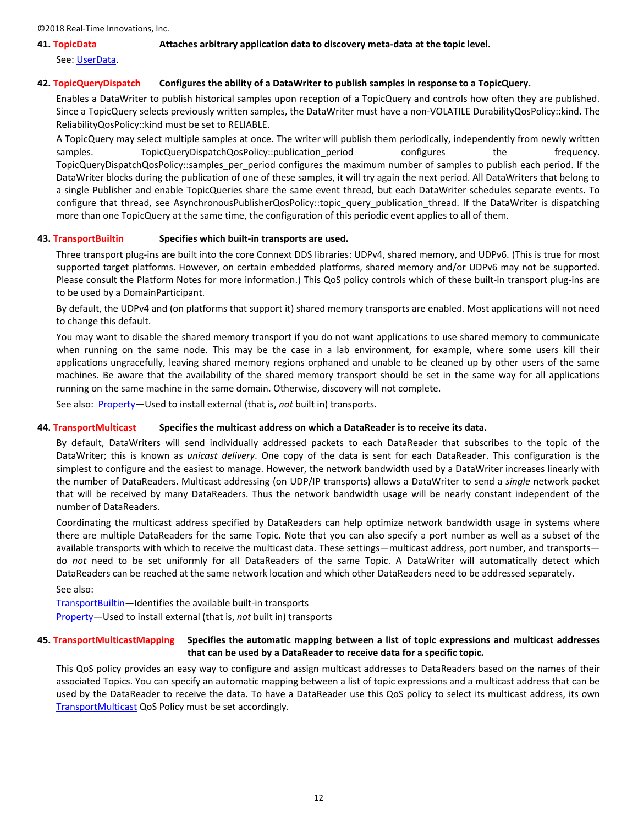#### <span id="page-11-4"></span>**41. TopicData Attaches arbitrary application data to discovery meta-data at the topic level.**

See: [UserData.](#page-12-5)

## <span id="page-11-0"></span>**42. TopicQueryDispatch Configures the ability of a DataWriter to publish samples in response to a TopicQuery.**

Enables a DataWriter to publish historical samples upon reception of a TopicQuery and controls how often they are published. Since a TopicQuery selects previously written samples, the DataWriter must have a non-VOLATILE DurabilityQosPolicy::kind. The ReliabilityQosPolicy::kind must be set to RELIABLE.

A TopicQuery may select multiple samples at once. The writer will publish them periodically, independently from newly written samples. TopicQueryDispatchQosPolicy::publication period configures the frequency. TopicQueryDispatchQosPolicy::samples\_per\_period configures the maximum number of samples to publish each period. If the DataWriter blocks during the publication of one of these samples, it will try again the next period. All DataWriters that belong to a single Publisher and enable TopicQueries share the same event thread, but each DataWriter schedules separate events. To configure that thread, see AsynchronousPublisherQosPolicy::topic query publication thread. If the DataWriter is dispatching more than one TopicQuery at the same time, the configuration of this periodic event applies to all of them.

#### <span id="page-11-1"></span>**43. TransportBuiltin Specifies which built-in transports are used.**

Three transport plug-ins are built into the core Connext DDS libraries: UDPv4, shared memory, and UDPv6. (This is true for most supported target platforms. However, on certain embedded platforms, shared memory and/or UDPv6 may not be supported. Please consult the Platform Notes for more information.) This QoS policy controls which of these built-in transport plug-ins are to be used by a DomainParticipant.

By default, the UDPv4 and (on platforms that support it) shared memory transports are enabled. Most applications will not need to change this default.

You may want to disable the shared memory transport if you do not want applications to use shared memory to communicate when running on the same node. This may be the case in a lab environment, for example, where some users kill their applications ungracefully, leaving shared memory regions orphaned and unable to be cleaned up by other users of the same machines. Be aware that the availability of the shared memory transport should be set in the same way for all applications running on the same machine in the same domain. Otherwise, discovery will not complete.

<span id="page-11-2"></span>See also: [Property](#page-8-0)—Used to install external (that is, *not* built in) transports.

#### **44. TransportMulticast Specifies the multicast address on which a DataReader is to receive its data.**

By default, DataWriters will send individually addressed packets to each DataReader that subscribes to the topic of the DataWriter; this is known as *unicast delivery*. One copy of the data is sent for each DataReader. This configuration is the simplest to configure and the easiest to manage. However, the network bandwidth used by a DataWriter increases linearly with the number of DataReaders. Multicast addressing (on UDP/IP transports) allows a DataWriter to send a *single* network packet that will be received by many DataReaders. Thus the network bandwidth usage will be nearly constant independent of the number of DataReaders.

Coordinating the multicast address specified by DataReaders can help optimize network bandwidth usage in systems where there are multiple DataReaders for the same Topic. Note that you can also specify a port number as well as a subset of the available transports with which to receive the multicast data. These settings—multicast address, port number, and transports do *not* need to be set uniformly for all DataReaders of the same Topic. A DataWriter will automatically detect which DataReaders can be reached at the same network location and which other DataReaders need to be addressed separately.

See also:

[TransportBuiltin](#page-11-1)—Identifies the available built-in transports [Property](#page-8-0)—Used to install external (that is, *not* built in) transports

# <span id="page-11-3"></span>**45. TransportMulticastMapping Specifies the automatic mapping between a list of topic expressions and multicast addresses that can be used by a DataReader to receive data for a specific topic.**

This QoS policy provides an easy way to configure and assign multicast addresses to DataReaders based on the names of their associated Topics. You can specify an automatic mapping between a list of topic expressions and a multicast address that can be used by the DataReader to receive the data. To have a DataReader use this QoS policy to select its multicast address, its own [TransportMulticast](#page-11-2) QoS Policy must be set accordingly.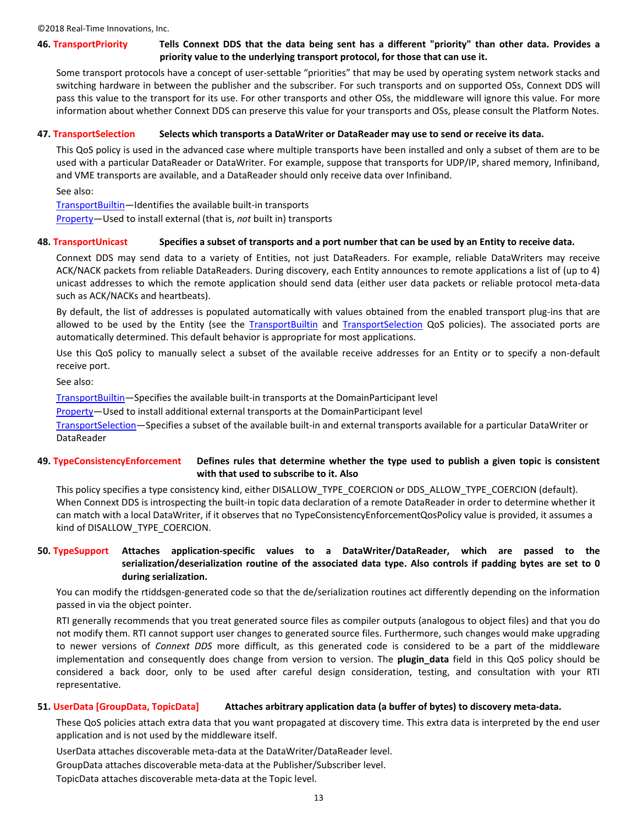# <span id="page-12-0"></span>**46. TransportPriority Tells Connext DDS that the data being sent has a different "priority" than other data. Provides a priority value to the underlying transport protocol, for those that can use it.**

Some transport protocols have a concept of user-settable "priorities" that may be used by operating system network stacks and switching hardware in between the publisher and the subscriber. For such transports and on supported OSs, Connext DDS will pass this value to the transport for its use. For other transports and other OSs, the middleware will ignore this value. For more information about whether Connext DDS can preserve this value for your transports and OSs, please consult the Platform Notes.

#### <span id="page-12-1"></span>**47. TransportSelection Selects which transports a DataWriter or DataReader may use to send or receive its data.**

This QoS policy is used in the advanced case where multiple transports have been installed and only a subset of them are to be used with a particular DataReader or DataWriter. For example, suppose that transports for UDP/IP, shared memory, Infiniband, and VME transports are available, and a DataReader should only receive data over Infiniband.

See also:

[TransportBuiltin](#page-11-1)—Identifies the available built-in transports

<span id="page-12-2"></span>[Property](#page-8-0)—Used to install external (that is, *not* built in) transports

#### **48. TransportUnicast Specifies a subset of transports and a port number that can be used by an Entity to receive data.**

Connext DDS may send data to a variety of Entities, not just DataReaders. For example, reliable DataWriters may receive ACK/NACK packets from reliable DataReaders. During discovery, each Entity announces to remote applications a list of (up to 4) unicast addresses to which the remote application should send data (either user data packets or reliable protocol meta-data such as ACK/NACKs and heartbeats).

By default, the list of addresses is populated automatically with values obtained from the enabled transport plug-ins that are allowed to be used by the Entity (see the [TransportBuiltin](#page-11-1) and [TransportSelection](#page-12-1) QoS policies). The associated ports are automatically determined. This default behavior is appropriate for most applications.

Use this QoS policy to manually select a subset of the available receive addresses for an Entity or to specify a non-default receive port.

See also:

[TransportBuiltin](#page-11-1)—Specifies the available built-in transports at the DomainParticipant level

[Property](#page-8-0)—Used to install additional external transports at the DomainParticipant level

[TransportSelection](#page-12-1)—Specifies a subset of the available built-in and external transports available for a particular DataWriter or DataReader

# <span id="page-12-3"></span>**49. TypeConsistencyEnforcement Defines rules that determine whether the type used to publish a given topic is consistent with that used to subscribe to it. Also**

This policy specifies a type consistency kind, either DISALLOW\_TYPE\_COERCION or DDS\_ALLOW\_TYPE\_COERCION (default). When Connext DDS is introspecting the built-in topic data declaration of a remote DataReader in order to determine whether it can match with a local DataWriter, if it observes that no TypeConsistencyEnforcementQosPolicy value is provided, it assumes a kind of DISALLOW\_TYPE\_COERCION.

# <span id="page-12-4"></span>**50. TypeSupport Attaches application-specific values to a DataWriter/DataReader, which are passed to the serialization/deserialization routine of the associated data type. Also controls if padding bytes are set to 0 during serialization.**

You can modify the rtiddsgen-generated code so that the de/serialization routines act differently depending on the information passed in via the object pointer.

RTI generally recommends that you treat generated source files as compiler outputs (analogous to object files) and that you do not modify them. RTI cannot support user changes to generated source files. Furthermore, such changes would make upgrading to newer versions of *Connext DDS* more difficult, as this generated code is considered to be a part of the middleware implementation and consequently does change from version to version. The **plugin\_data** field in this QoS policy should be considered a back door, only to be used after careful design consideration, testing, and consultation with your RTI representative.

#### <span id="page-12-5"></span>**51. UserData [GroupData, TopicData] Attaches arbitrary application data (a buffer of bytes) to discovery meta-data.**

These QoS policies attach extra data that you want propagated at discovery time. This extra data is interpreted by the end user application and is not used by the middleware itself.

UserData attaches discoverable meta-data at the DataWriter/DataReader level. GroupData attaches discoverable meta-data at the Publisher/Subscriber level.

TopicData attaches discoverable meta-data at the Topic level.